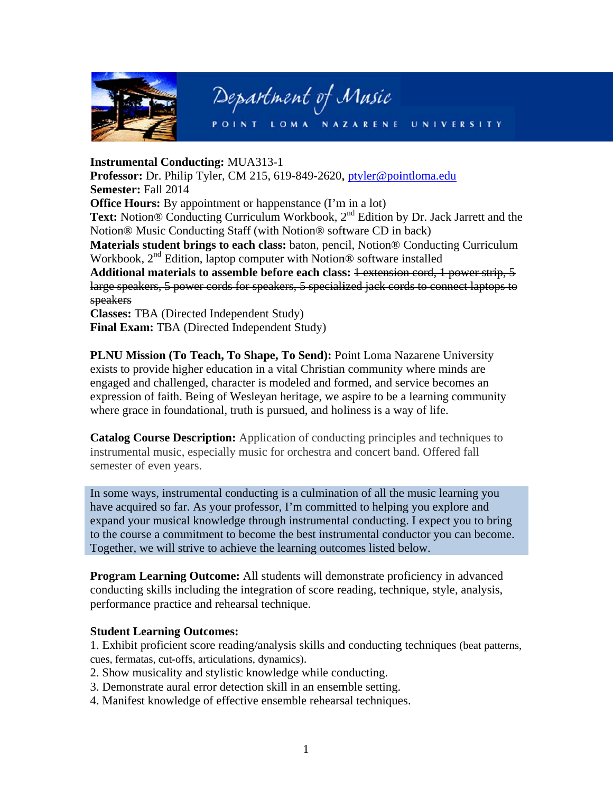

## Department of Music

POINT LOMA NAZARENE UNIVE

## **Instrumental Conducting: MUA313-1**

Professor: Dr. Philip Tyler, CM 215, 619-849-2620, ptyler@pointloma.edu **Semester: Fall 2014 Office Hours:** By appointment or happenstance (I'm in a lot) Text: Notion® Conducting Curriculum Workbook, 2<sup>nd</sup> Edition by Dr. Jack Jarrett and the Notion® Music Conducting Staff (with Notion® software CD in back) **Materials student brings to each class:** baton, pencil, Notion<sup>®</sup> Conducting Curriculum Workbook,  $2<sup>nd</sup>$  Edition, laptop computer with Notion<sup>®</sup> software installed Additional materials to assemble before each class: 1-extension cord, 1 power strip, 5 large speakers, 5 power cords for speakers, 5 specialized jack cords to connect laptops to speakers

**Classes: TBA** (Directed Independent Study) Final Exam: TBA (Directed Independent Study)

**PLNU Mission (To Teach, To Shape, To Send): Point Loma Nazarene University** exists to provide higher education in a vital Christian community where minds are engaged and challenged, character is modeled and formed, and service becomes an expression of faith. Being of Wesleyan heritage, we aspire to be a learning community where grace in foundational, truth is pursued, and holiness is a way of life.

**Catalog Course Description:** Application of conducting principles and techniques to instrumental music, especially music for orchestra and concert band. Offered fall semester of even years.

In some ways, instrumental conducting is a culmination of all the music learning you have acquired so far. As your professor, I'm committed to helping you explore and expand your musical knowledge through instrumental conducting. I expect you to bring to the course a commitment to become the best instrumental conductor you can become. Together, we will strive to achieve the learning outcomes listed below.

**Program Learning Outcome:** All students will demonstrate proficiency in advanced conducting skills including the integration of score reading, technique, style, analysis, performance practice and rehearsal technique.

## **Student Learning Outcomes:**

1. Exhibit proficient score reading/analysis skills and conducting techniques (beat patterns, cues, fermatas, cut-offs, articulations, dynamics).

- 2. Show musicality and stylistic knowledge while conducting.
- 3. Demonstrate aural error detection skill in an ensemble setting.
- 4. Manifest knowledge of effective ensemble rehearsal techniques.